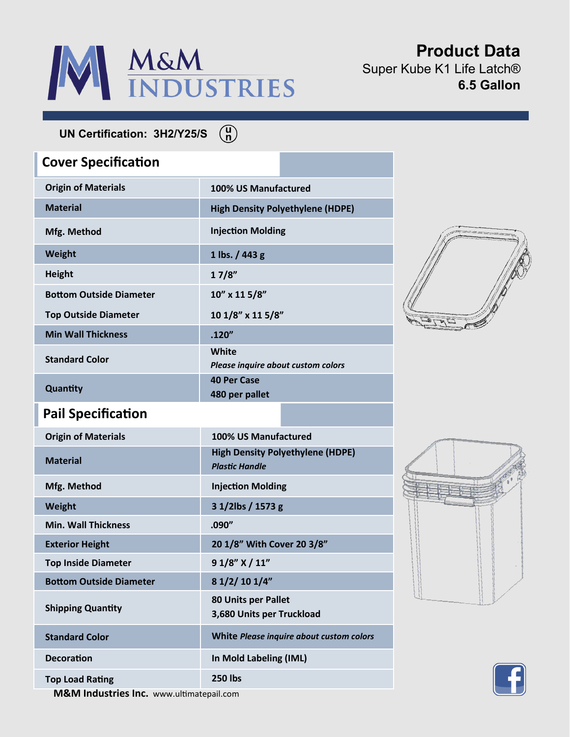

**Product Data** Super Kube K1 Life Latch® **6.5 Gallon**

**UN Certification: 3H2/Y25/S**

## **Origin of Materials 100% US Manufactured Material High Density Polyethylene (HDPE) Mfg. Method Injection Molding Weight 1 lbs. / 443 g Height 1 7/8" Bottom Outside Diameter Top Outside Diameter 10" x 11 5/8" 10 1/8" x 11 5/8" Min Wall Thickness .120" Standard Color White**  *Please inquire about custom colors* **Quantity 40 Per Case 480 per pallet Cover Specification Origin of Materials 100% US Manufactured Material High Density Polyethylene (HDPE)** *Plastic Handle* **Mfg. Method Injection Molding Weight 3 1/2lbs / 1573 g Min. Wall Thickness .090" Exterior Height 20 1/8" With Cover 20 3/8" Top Inside Diameter 9 1/8" X / 11" Bottom Outside Diameter 8 1/2/ 10 1/4" Pail Specification**

 $\binom{u}{n}$ 

**80 Units per Pallet**

**Standard Color White** *Please inquire about custom colors*

**3,680 Units per Truckload**







**M&M Industries Inc.** www.ultimatepail.com **Top Load Rating 250 lbs**

**Decoration In Mold Labeling (IML)** 

**Shipping Quantity**